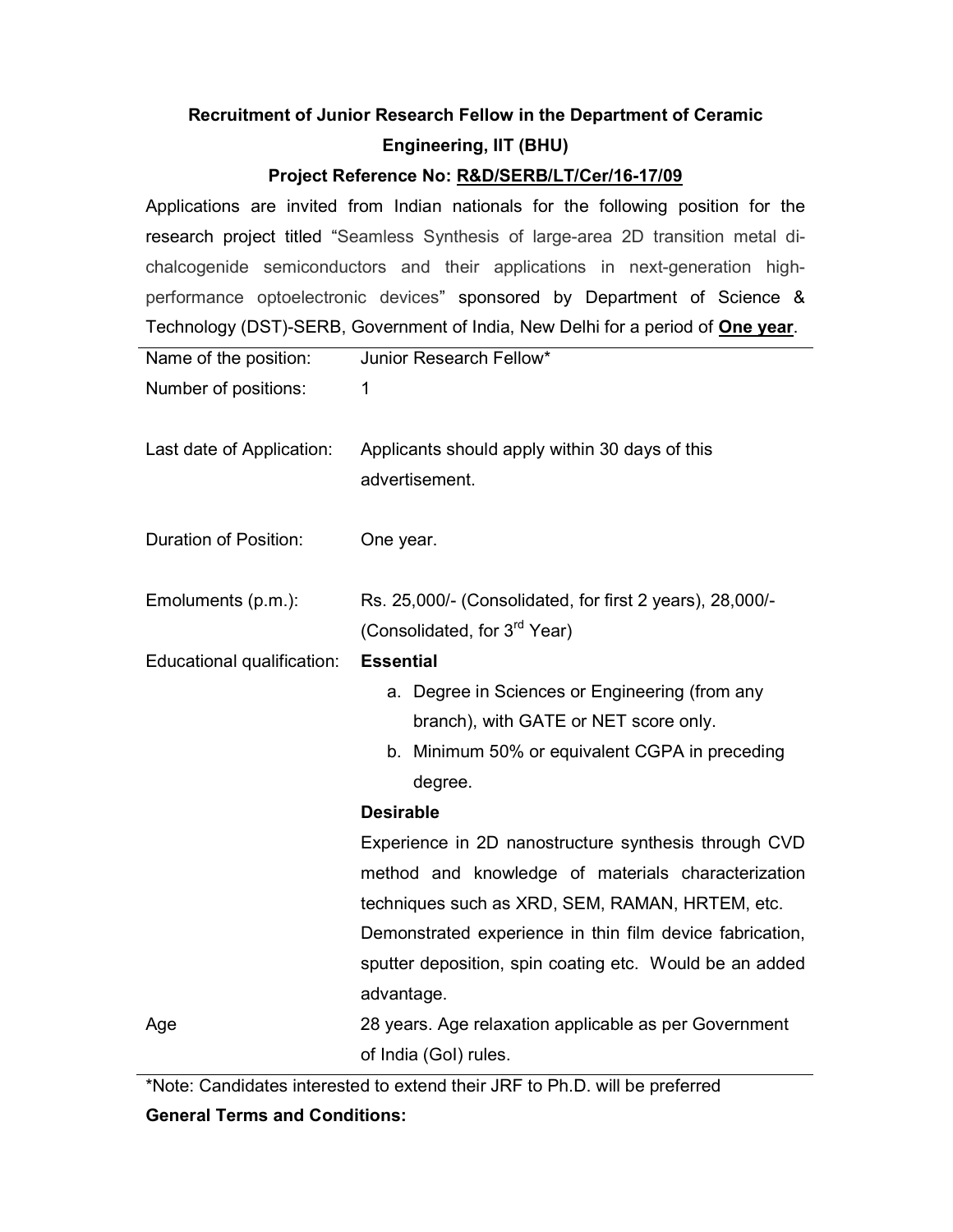## Recruitment of Junior Research Fellow in the Department of Ceramic Engineering, IIT (BHU)

## Project Reference No: R&D/SERB/LT/Cer/16-17/09

Applications are invited from Indian nationals for the following position for the research project titled "Seamless Synthesis of large-area 2D transition metal dichalcogenide semiconductors and their applications in next-generation highperformance optoelectronic devices" sponsored by Department of Science & Technology (DST)-SERB, Government of India, New Delhi for a period of **One year**.

| Name of the position:        | Junior Research Fellow*                                                                                                                                                                                                                                                                                    |
|------------------------------|------------------------------------------------------------------------------------------------------------------------------------------------------------------------------------------------------------------------------------------------------------------------------------------------------------|
| Number of positions:         | 1                                                                                                                                                                                                                                                                                                          |
| Last date of Application:    | Applicants should apply within 30 days of this<br>advertisement.                                                                                                                                                                                                                                           |
| <b>Duration of Position:</b> | One year.                                                                                                                                                                                                                                                                                                  |
| Emoluments (p.m.):           | Rs. 25,000/- (Consolidated, for first 2 years), 28,000/-<br>(Consolidated, for 3 <sup>rd</sup> Year)                                                                                                                                                                                                       |
| Educational qualification:   | <b>Essential</b><br>a. Degree in Sciences or Engineering (from any<br>branch), with GATE or NET score only.<br>b. Minimum 50% or equivalent CGPA in preceding<br>degree.<br><b>Desirable</b><br>Experience in 2D nanostructure synthesis through CVD<br>method and knowledge of materials characterization |
| Age                          | techniques such as XRD, SEM, RAMAN, HRTEM, etc.<br>Demonstrated experience in thin film device fabrication,<br>sputter deposition, spin coating etc. Would be an added<br>advantage.<br>28 years. Age relaxation applicable as per Government                                                              |
|                              | of India (Gol) rules.                                                                                                                                                                                                                                                                                      |

\*Note: Candidates interested to extend their JRF to Ph.D. will be preferred

## General Terms and Conditions: